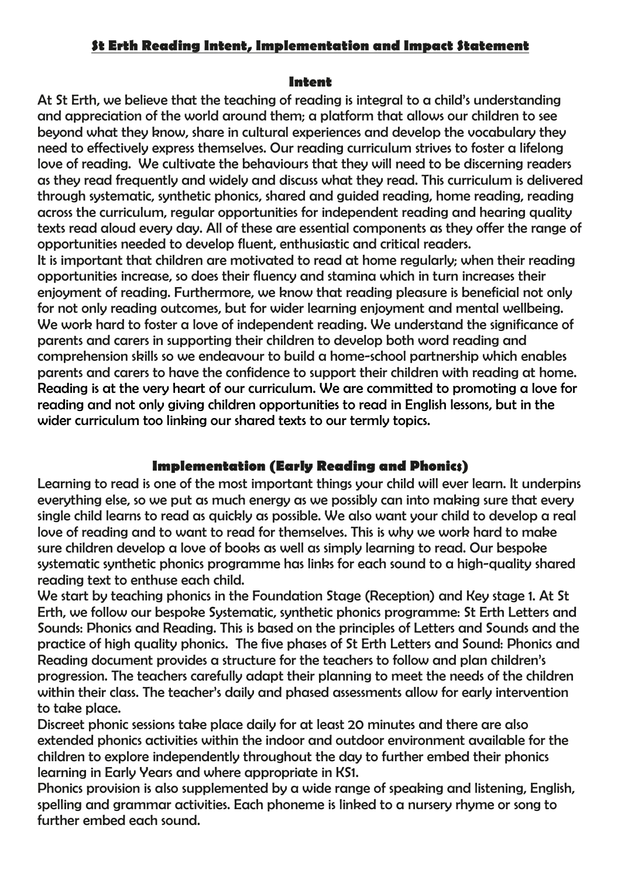## **St Erth Reading Intent, Implementation and Impact Statement**

## **Intent**

At St Erth, we believe that the teaching of reading is integral to a child's understanding and appreciation of the world around them; a platform that allows our children to see beyond what they know, share in cultural experiences and develop the vocabulary they need to effectively express themselves. Our reading curriculum strives to foster a lifelong love of reading. We cultivate the behaviours that they will need to be discerning readers as they read frequently and widely and discuss what they read. This curriculum is delivered through systematic, synthetic phonics, shared and guided reading, home reading, reading across the curriculum, regular opportunities for independent reading and hearing quality texts read aloud every day. All of these are essential components as they offer the range of opportunities needed to develop fluent, enthusiastic and critical readers.

It is important that children are motivated to read at home regularly; when their reading opportunities increase, so does their fluency and stamina which in turn increases their enjoyment of reading. Furthermore, we know that reading pleasure is beneficial not only for not only reading outcomes, but for wider learning enjoyment and mental wellbeing. We work hard to foster a love of independent reading. We understand the significance of parents and carers in supporting their children to develop both word reading and comprehension skills so we endeavour to build a home-school partnership which enables parents and carers to have the confidence to support their children with reading at home. Reading is at the very heart of our curriculum. We are committed to promoting a love for reading and not only giving children opportunities to read in English lessons, but in the wider curriculum too linking our shared texts to our termly topics.

## **Implementation (Early Reading and Phonics)**

Learning to read is one of the most important things your child will ever learn. It underpins everything else, so we put as much energy as we possibly can into making sure that every single child learns to read as quickly as possible. We also want your child to develop a real love of reading and to want to read for themselves. This is why we work hard to make sure children develop a love of books as well as simply learning to read. Our bespoke systematic synthetic phonics programme has links for each sound to a high-quality shared reading text to enthuse each child.

We start by teaching phonics in the Foundation Stage (Reception) and Key stage 1. At St Erth, we follow our bespoke Systematic, synthetic phonics programme: St Erth Letters and Sounds: Phonics and Reading. This is based on the principles of Letters and Sounds and the practice of high quality phonics. The five phases of St Erth Letters and Sound: Phonics and Reading document provides a structure for the teachers to follow and plan children's progression. The teachers carefully adapt their planning to meet the needs of the children within their class. The teacher's daily and phased assessments allow for early intervention to take place.

Discreet phonic sessions take place daily for at least 20 minutes and there are also extended phonics activities within the indoor and outdoor environment available for the children to explore independently throughout the day to further embed their phonics learning in Early Years and where appropriate in KS1.

Phonics provision is also supplemented by a wide range of speaking and listening, English, spelling and grammar activities. Each phoneme is linked to a nursery rhyme or song to further embed each sound.